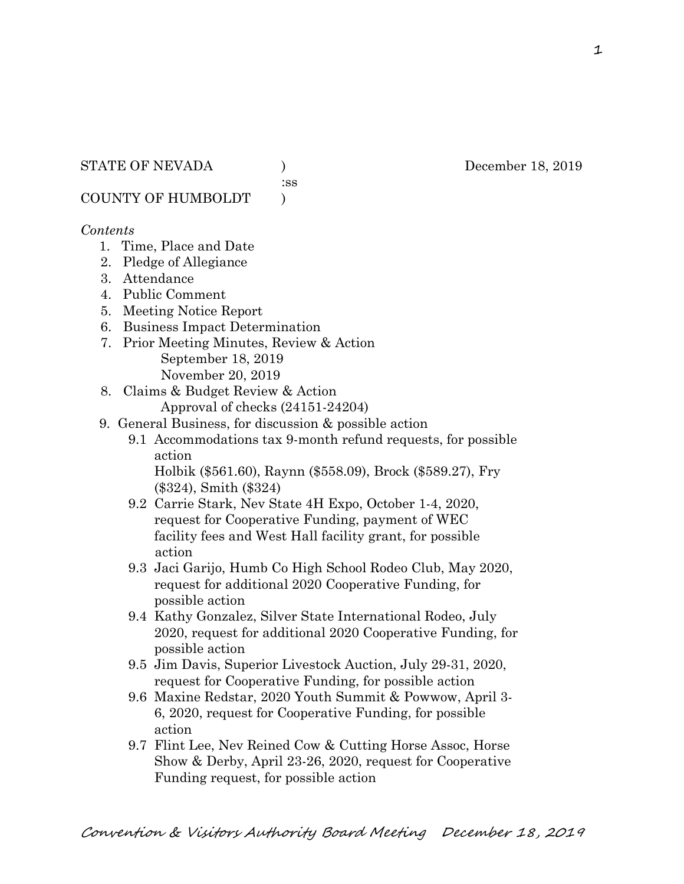:ss

COUNTY OF HUMBOLDT )

### *Contents*

- 1. Time, Place and Date
- 2. Pledge of Allegiance
- 3. Attendance
- 4. Public Comment
- 5. Meeting Notice Report
- 6. Business Impact Determination
- 7. Prior Meeting Minutes, Review & Action September 18, 2019 November 20, 2019
- 8. Claims & Budget Review & Action
	- Approval of checks (24151-24204)
- 9. General Business, for discussion & possible action
	- 9.1 Accommodations tax 9-month refund requests, for possible action

 Holbik (\$561.60), Raynn (\$558.09), Brock (\$589.27), Fry (\$324), Smith (\$324)

- 9.2 Carrie Stark, Nev State 4H Expo, October 1-4, 2020, request for Cooperative Funding, payment of WEC facility fees and West Hall facility grant, for possible action
- 9.3 Jaci Garijo, Humb Co High School Rodeo Club, May 2020, request for additional 2020 Cooperative Funding, for possible action
- 9.4 Kathy Gonzalez, Silver State International Rodeo, July 2020, request for additional 2020 Cooperative Funding, for possible action
- 9.5 Jim Davis, Superior Livestock Auction, July 29-31, 2020, request for Cooperative Funding, for possible action
- 9.6 Maxine Redstar, 2020 Youth Summit & Powwow, April 3- 6, 2020, request for Cooperative Funding, for possible action
- 9.7 Flint Lee, Nev Reined Cow & Cutting Horse Assoc, Horse Show & Derby, April 23-26, 2020, request for Cooperative Funding request, for possible action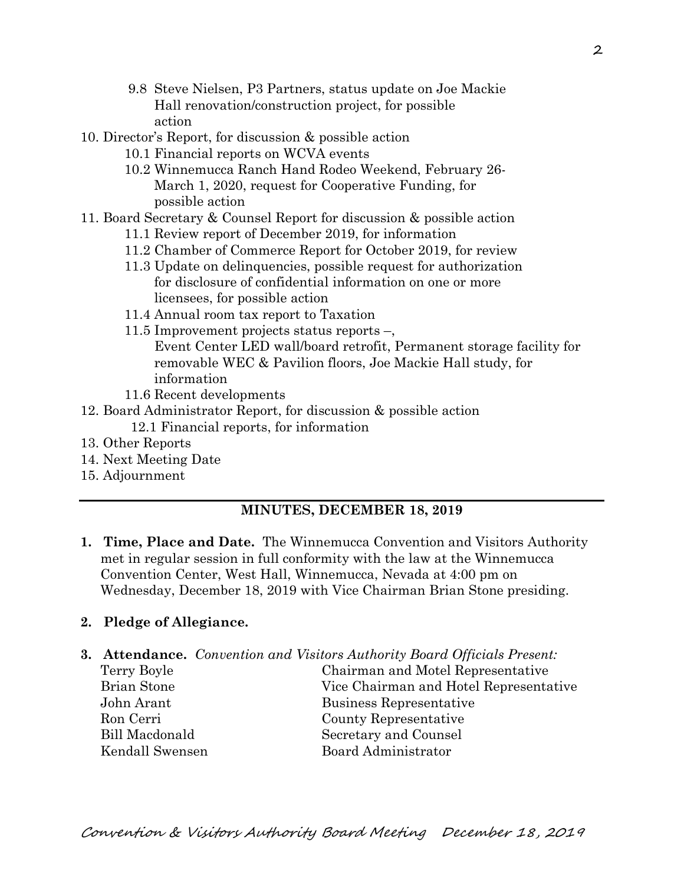- 9.8 Steve Nielsen, P3 Partners, status update on Joe Mackie Hall renovation/construction project, for possible action
- 10. Director's Report, for discussion & possible action
	- 10.1 Financial reports on WCVA events
	- 10.2 Winnemucca Ranch Hand Rodeo Weekend, February 26- March 1, 2020, request for Cooperative Funding, for possible action
- 11. Board Secretary & Counsel Report for discussion & possible action
	- 11.1 Review report of December 2019, for information
	- 11.2 Chamber of Commerce Report for October 2019, for review
	- 11.3 Update on delinquencies, possible request for authorization for disclosure of confidential information on one or more licensees, for possible action
	- 11.4 Annual room tax report to Taxation
	- 11.5 Improvement projects status reports –,
		- Event Center LED wall/board retrofit, Permanent storage facility for removable WEC & Pavilion floors, Joe Mackie Hall study, for information
	- 11.6 Recent developments
- 12. Board Administrator Report, for discussion & possible action 12.1 Financial reports, for information
- 13. Other Reports
- 14. Next Meeting Date
- 15. Adjournment

## **MINUTES, DECEMBER 18, 2019**

**1. Time, Place and Date.** The Winnemucca Convention and Visitors Authority met in regular session in full conformity with the law at the Winnemucca Convention Center, West Hall, Winnemucca, Nevada at 4:00 pm on Wednesday, December 18, 2019 with Vice Chairman Brian Stone presiding.

#### **2. Pledge of Allegiance.**

- **3. Attendance.** *Convention and Visitors Authority Board Officials Present:*
	-

Terry Boyle Chairman and Motel Representative Brian Stone Vice Chairman and Hotel Representative John Arant Business Representative Ron Cerri County Representative Bill Macdonald Secretary and Counsel Kendall Swensen Board Administrator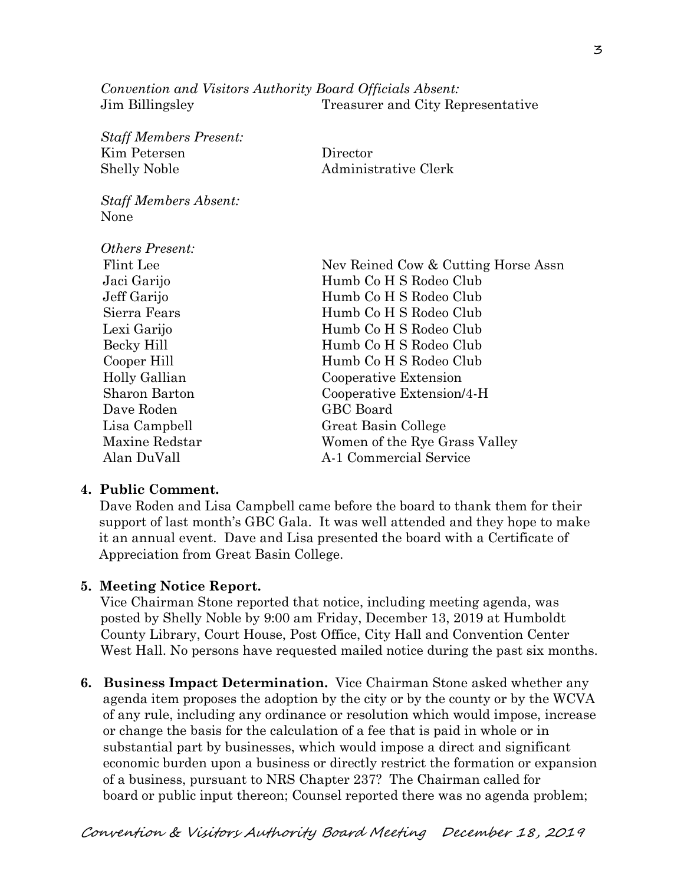*Convention and Visitors Authority Board Officials Absent:* Jim Billingsley Treasurer and City Representative

*Staff Members Present:* Kim Petersen Director Shelly Noble Administrative Clerk *Staff Members Absent:* None *Others Present:* Flint Lee Nev Reined Cow & Cutting Horse Assn Jaci Garijo Humb Co H S Rodeo Club Jeff Garijo Humb Co H S Rodeo Club Sierra Fears Humb Co H S Rodeo Club Lexi Garijo Humb Co H S Rodeo Club Becky Hill Humb Co H S Rodeo Club Cooper Hill Humb Co H S Rodeo Club Holly Gallian Cooperative Extension Sharon Barton Cooperative Extension/4-H Dave Roden GBC Board Lisa Campbell Great Basin College Maxine Redstar Women of the Rye Grass Valley Alan DuVall A-1 Commercial Service

#### **4. Public Comment.**

Dave Roden and Lisa Campbell came before the board to thank them for their support of last month's GBC Gala. It was well attended and they hope to make it an annual event. Dave and Lisa presented the board with a Certificate of Appreciation from Great Basin College.

#### **5. Meeting Notice Report.**

Vice Chairman Stone reported that notice, including meeting agenda, was posted by Shelly Noble by 9:00 am Friday, December 13, 2019 at Humboldt County Library, Court House, Post Office, City Hall and Convention Center West Hall. No persons have requested mailed notice during the past six months.

**6. Business Impact Determination.** Vice Chairman Stone asked whether any agenda item proposes the adoption by the city or by the county or by the WCVA of any rule, including any ordinance or resolution which would impose, increase or change the basis for the calculation of a fee that is paid in whole or in substantial part by businesses, which would impose a direct and significant economic burden upon a business or directly restrict the formation or expansion of a business, pursuant to NRS Chapter 237? The Chairman called for board or public input thereon; Counsel reported there was no agenda problem;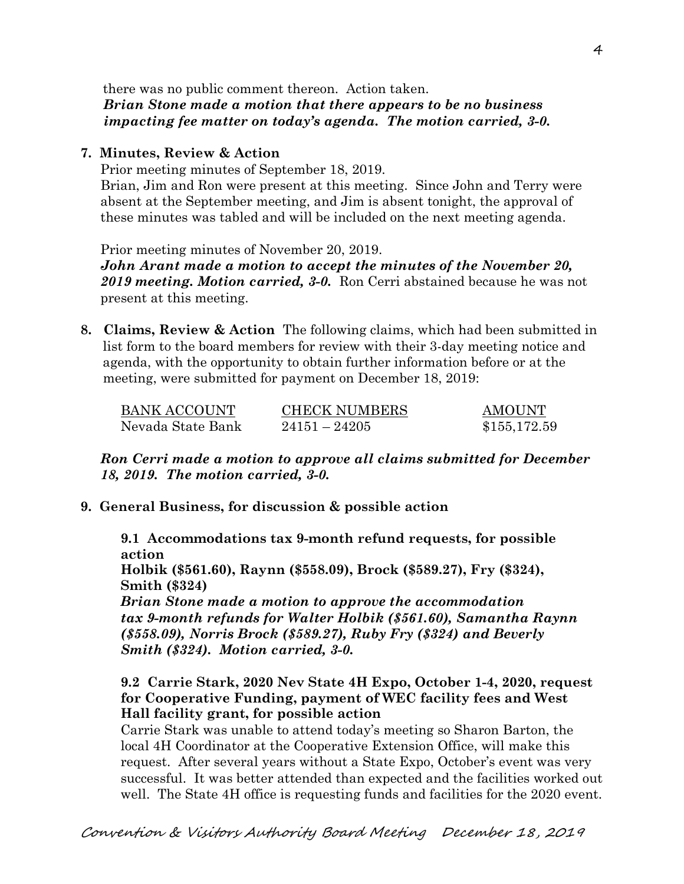there was no public comment thereon. Action taken.  *Brian Stone made a motion that there appears to be no business impacting fee matter on today's agenda. The motion carried, 3-0.*

#### **7. Minutes, Review & Action**

Prior meeting minutes of September 18, 2019. Brian, Jim and Ron were present at this meeting. Since John and Terry were absent at the September meeting, and Jim is absent tonight, the approval of these minutes was tabled and will be included on the next meeting agenda.

Prior meeting minutes of November 20, 2019.

*John Arant made a motion to accept the minutes of the November 20, 2019 meeting. Motion carried, 3-0.* Ron Cerri abstained because he was not present at this meeting.

**8. Claims, Review & Action** The following claims, which had been submitted in list form to the board members for review with their 3-day meeting notice and agenda, with the opportunity to obtain further information before or at the meeting, were submitted for payment on December 18, 2019:

| BANK ACCOUNT      | <b>CHECK NUMBERS</b> | <b>AMOUNT</b> |
|-------------------|----------------------|---------------|
| Nevada State Bank | $24151 - 24205$      | \$155,172.59  |

*Ron Cerri made a motion to approve all claims submitted for December 18, 2019. The motion carried, 3-0.*

#### **9. General Business, for discussion & possible action**

**9.1 Accommodations tax 9-month refund requests, for possible action**

**Holbik (\$561.60), Raynn (\$558.09), Brock (\$589.27), Fry (\$324), Smith (\$324)**

*Brian Stone made a motion to approve the accommodation tax 9-month refunds for Walter Holbik (\$561.60), Samantha Raynn (\$558.09), Norris Brock (\$589.27), Ruby Fry (\$324) and Beverly Smith (\$324). Motion carried, 3-0.* 

**9.2 Carrie Stark, 2020 Nev State 4H Expo, October 1-4, 2020, request for Cooperative Funding, payment of WEC facility fees and West Hall facility grant, for possible action**

Carrie Stark was unable to attend today's meeting so Sharon Barton, the local 4H Coordinator at the Cooperative Extension Office, will make this request. After several years without a State Expo, October's event was very successful. It was better attended than expected and the facilities worked out well. The State 4H office is requesting funds and facilities for the 2020 event.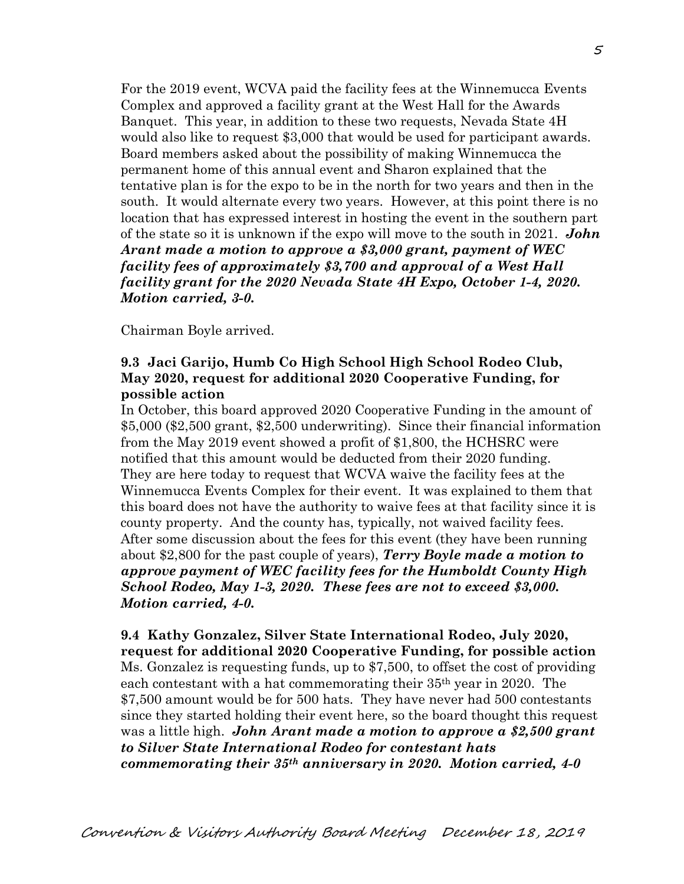For the 2019 event, WCVA paid the facility fees at the Winnemucca Events Complex and approved a facility grant at the West Hall for the Awards Banquet. This year, in addition to these two requests, Nevada State 4H would also like to request \$3,000 that would be used for participant awards. Board members asked about the possibility of making Winnemucca the permanent home of this annual event and Sharon explained that the tentative plan is for the expo to be in the north for two years and then in the south. It would alternate every two years. However, at this point there is no location that has expressed interest in hosting the event in the southern part of the state so it is unknown if the expo will move to the south in 2021. *John Arant made a motion to approve a \$3,000 grant, payment of WEC facility fees of approximately \$3,700 and approval of a West Hall facility grant for the 2020 Nevada State 4H Expo, October 1-4, 2020. Motion carried, 3-0.* 

Chairman Boyle arrived.

## **9.3 Jaci Garijo, Humb Co High School High School Rodeo Club, May 2020, request for additional 2020 Cooperative Funding, for possible action**

In October, this board approved 2020 Cooperative Funding in the amount of \$5,000 (\$2,500 grant, \$2,500 underwriting). Since their financial information from the May 2019 event showed a profit of \$1,800, the HCHSRC were notified that this amount would be deducted from their 2020 funding. They are here today to request that WCVA waive the facility fees at the Winnemucca Events Complex for their event. It was explained to them that this board does not have the authority to waive fees at that facility since it is county property. And the county has, typically, not waived facility fees. After some discussion about the fees for this event (they have been running about \$2,800 for the past couple of years), *Terry Boyle made a motion to approve payment of WEC facility fees for the Humboldt County High School Rodeo, May 1-3, 2020. These fees are not to exceed \$3,000. Motion carried, 4-0.*

**9.4 Kathy Gonzalez, Silver State International Rodeo, July 2020, request for additional 2020 Cooperative Funding, for possible action** Ms. Gonzalez is requesting funds, up to \$7,500, to offset the cost of providing each contestant with a hat commemorating their 35th year in 2020. The \$7,500 amount would be for 500 hats. They have never had 500 contestants since they started holding their event here, so the board thought this request was a little high. *John Arant made a motion to approve a \$2,500 grant to Silver State International Rodeo for contestant hats commemorating their 35th anniversary in 2020. Motion carried, 4-0*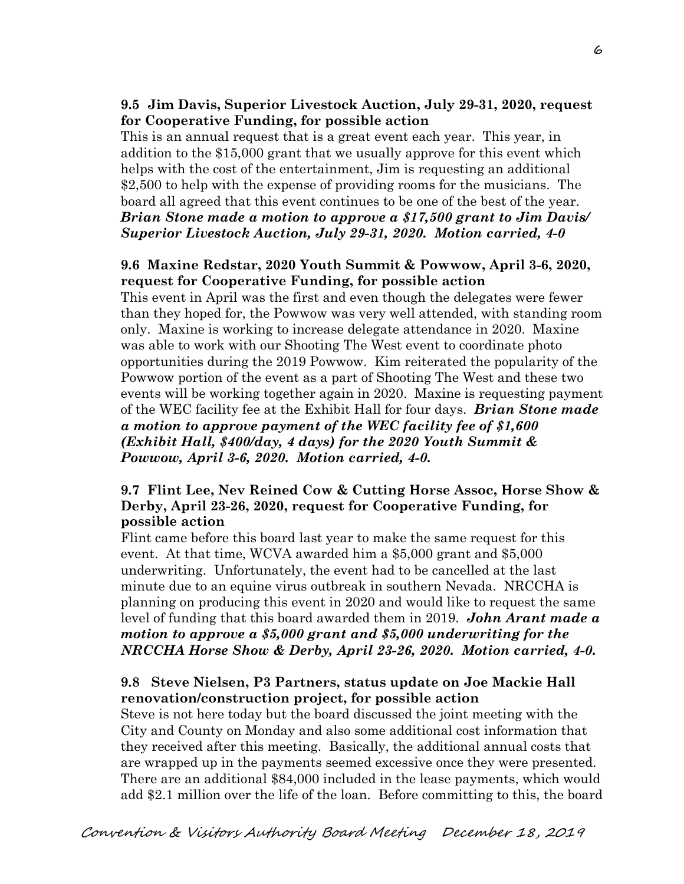# **9.5 Jim Davis, Superior Livestock Auction, July 29-31, 2020, request for Cooperative Funding, for possible action**

This is an annual request that is a great event each year. This year, in addition to the \$15,000 grant that we usually approve for this event which helps with the cost of the entertainment, Jim is requesting an additional \$2,500 to help with the expense of providing rooms for the musicians. The board all agreed that this event continues to be one of the best of the year. *Brian Stone made a motion to approve a \$17,500 grant to Jim Davis/ Superior Livestock Auction, July 29-31, 2020. Motion carried, 4-0*

## **9.6 Maxine Redstar, 2020 Youth Summit & Powwow, April 3-6, 2020, request for Cooperative Funding, for possible action**

This event in April was the first and even though the delegates were fewer than they hoped for, the Powwow was very well attended, with standing room only. Maxine is working to increase delegate attendance in 2020. Maxine was able to work with our Shooting The West event to coordinate photo opportunities during the 2019 Powwow. Kim reiterated the popularity of the Powwow portion of the event as a part of Shooting The West and these two events will be working together again in 2020. Maxine is requesting payment of the WEC facility fee at the Exhibit Hall for four days. *Brian Stone made a motion to approve payment of the WEC facility fee of \$1,600 (Exhibit Hall, \$400/day, 4 days) for the 2020 Youth Summit & Powwow, April 3-6, 2020. Motion carried, 4-0.* 

## **9.7 Flint Lee, Nev Reined Cow & Cutting Horse Assoc, Horse Show & Derby, April 23-26, 2020, request for Cooperative Funding, for possible action**

Flint came before this board last year to make the same request for this event. At that time, WCVA awarded him a \$5,000 grant and \$5,000 underwriting. Unfortunately, the event had to be cancelled at the last minute due to an equine virus outbreak in southern Nevada. NRCCHA is planning on producing this event in 2020 and would like to request the same level of funding that this board awarded them in 2019. *John Arant made a motion to approve a \$5,000 grant and \$5,000 underwriting for the NRCCHA Horse Show & Derby, April 23-26, 2020. Motion carried, 4-0.* 

# **9.8 Steve Nielsen, P3 Partners, status update on Joe Mackie Hall renovation/construction project, for possible action**

Steve is not here today but the board discussed the joint meeting with the City and County on Monday and also some additional cost information that they received after this meeting. Basically, the additional annual costs that are wrapped up in the payments seemed excessive once they were presented. There are an additional \$84,000 included in the lease payments, which would add \$2.1 million over the life of the loan. Before committing to this, the board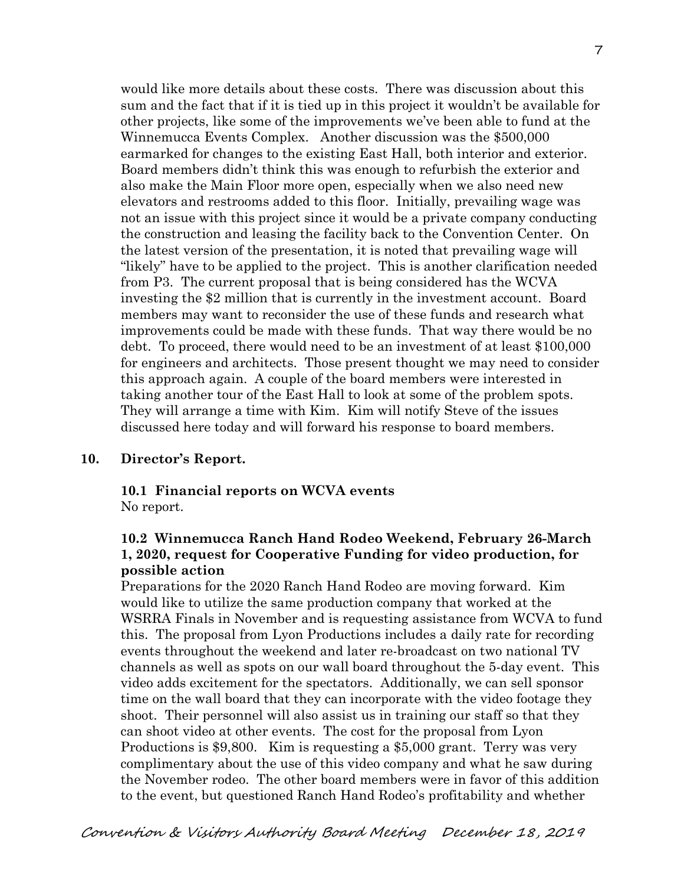would like more details about these costs. There was discussion about this sum and the fact that if it is tied up in this project it wouldn't be available for other projects, like some of the improvements we've been able to fund at the Winnemucca Events Complex. Another discussion was the \$500,000 earmarked for changes to the existing East Hall, both interior and exterior. Board members didn't think this was enough to refurbish the exterior and also make the Main Floor more open, especially when we also need new elevators and restrooms added to this floor. Initially, prevailing wage was not an issue with this project since it would be a private company conducting the construction and leasing the facility back to the Convention Center. On the latest version of the presentation, it is noted that prevailing wage will "likely" have to be applied to the project. This is another clarification needed from P3. The current proposal that is being considered has the WCVA investing the \$2 million that is currently in the investment account. Board members may want to reconsider the use of these funds and research what improvements could be made with these funds. That way there would be no debt. To proceed, there would need to be an investment of at least \$100,000 for engineers and architects. Those present thought we may need to consider this approach again. A couple of the board members were interested in taking another tour of the East Hall to look at some of the problem spots. They will arrange a time with Kim. Kim will notify Steve of the issues discussed here today and will forward his response to board members.

#### **10. Director's Report.**

#### **10.1 Financial reports on WCVA events**  No report.

## **10.2 Winnemucca Ranch Hand Rodeo Weekend, February 26-March 1, 2020, request for Cooperative Funding for video production, for possible action**

Preparations for the 2020 Ranch Hand Rodeo are moving forward. Kim would like to utilize the same production company that worked at the WSRRA Finals in November and is requesting assistance from WCVA to fund this. The proposal from Lyon Productions includes a daily rate for recording events throughout the weekend and later re-broadcast on two national TV channels as well as spots on our wall board throughout the 5-day event. This video adds excitement for the spectators. Additionally, we can sell sponsor time on the wall board that they can incorporate with the video footage they shoot. Their personnel will also assist us in training our staff so that they can shoot video at other events. The cost for the proposal from Lyon Productions is \$9,800. Kim is requesting a \$5,000 grant. Terry was very complimentary about the use of this video company and what he saw during the November rodeo. The other board members were in favor of this addition to the event, but questioned Ranch Hand Rodeo's profitability and whether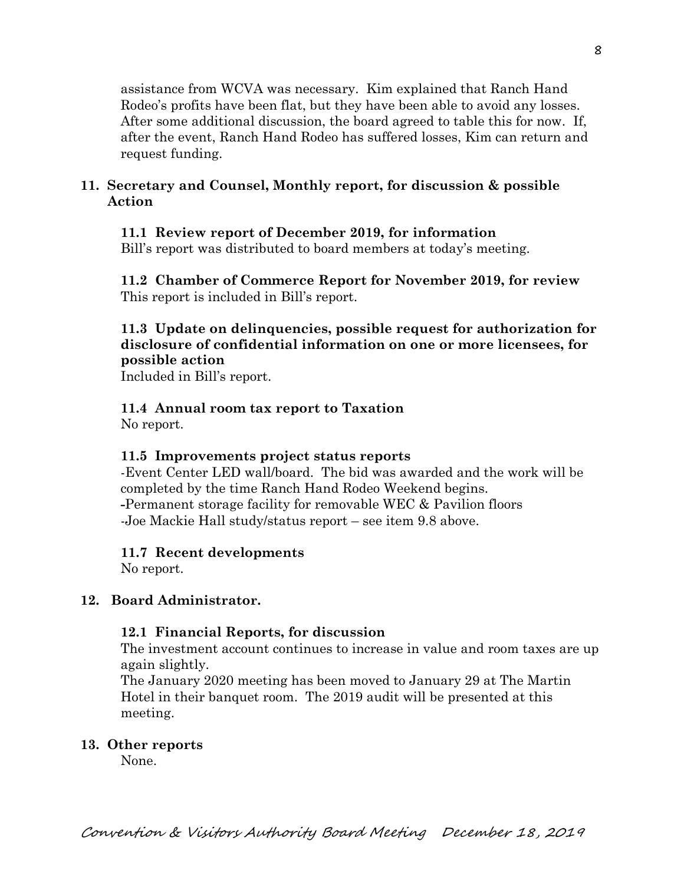assistance from WCVA was necessary. Kim explained that Ranch Hand Rodeo's profits have been flat, but they have been able to avoid any losses. After some additional discussion, the board agreed to table this for now. If, after the event, Ranch Hand Rodeo has suffered losses, Kim can return and request funding.

# **11. Secretary and Counsel, Monthly report, for discussion & possible Action**

# **11.1 Review report of December 2019, for information**

Bill's report was distributed to board members at today's meeting.

**11.2 Chamber of Commerce Report for November 2019, for review** This report is included in Bill's report.

# **11.3 Update on delinquencies, possible request for authorization for disclosure of confidential information on one or more licensees, for possible action**

Included in Bill's report.

# **11.4 Annual room tax report to Taxation**

No report.

# **11.5 Improvements project status reports**

-Event Center LED wall/board. The bid was awarded and the work will be completed by the time Ranch Hand Rodeo Weekend begins. **-**Permanent storage facility for removable WEC & Pavilion floors -Joe Mackie Hall study/status report – see item 9.8 above.

# **11.7 Recent developments**

No report.

# **12. Board Administrator.**

## **12.1 Financial Reports, for discussion**

The investment account continues to increase in value and room taxes are up again slightly.

The January 2020 meeting has been moved to January 29 at The Martin Hotel in their banquet room. The 2019 audit will be presented at this meeting.

## **13. Other reports**

None.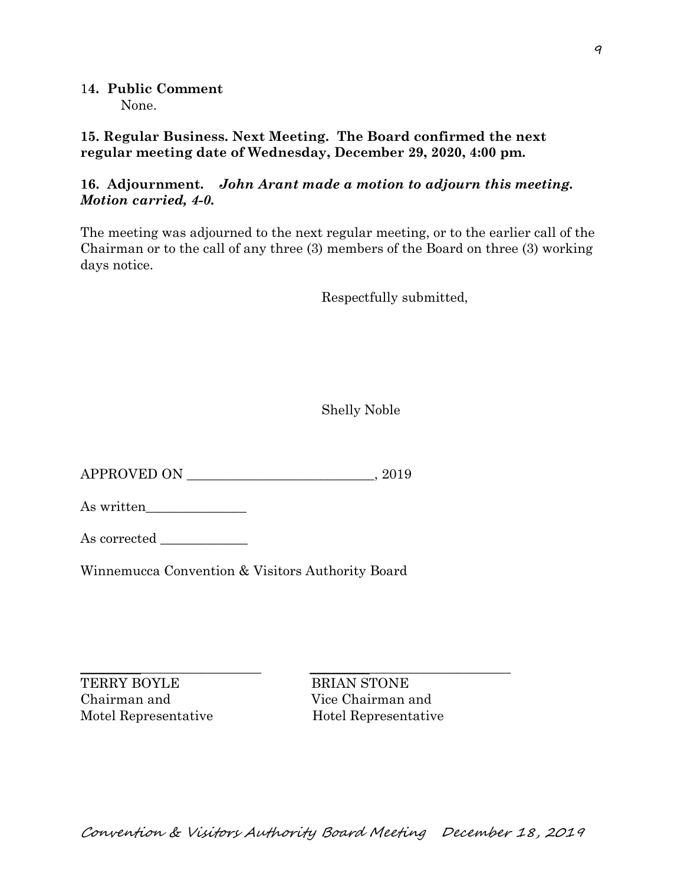1**4. Public Comment** None.

**15. Regular Business. Next Meeting. The Board confirmed the next regular meeting date of Wednesday, December 29, 2020, 4:00 pm.** 

## **16. Adjournment.** *John Arant made a motion to adjourn this meeting. Motion carried, 4-0.*

The meeting was adjourned to the next regular meeting, or to the earlier call of the Chairman or to the call of any three (3) members of the Board on three (3) working days notice.

Respectfully submitted,

Shelly Noble

APPROVED ON \_\_\_\_\_\_\_\_\_\_\_\_\_\_\_\_\_\_\_\_\_\_\_\_\_\_\_\_, 2019

As written\_\_\_\_\_\_\_\_\_\_\_\_\_\_\_

As corrected

Winnemucca Convention & Visitors Authority Board

\_\_\_\_\_\_\_\_\_\_\_\_\_\_\_\_\_\_\_\_\_\_\_\_\_\_\_ \_\_\_\_\_\_\_\_\_\_\_\_\_\_\_\_\_\_\_\_\_\_\_\_\_\_\_\_\_\_ TERRY BOYLE BRIAN STONE Chairman and Vice Chairman and Motel Representative Hotel Representative